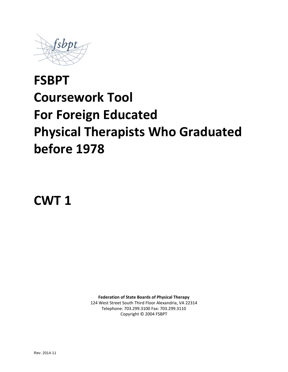

# **FSBPT Coursework Tool For Foreign Educated Physical Therapists Who Graduated before 1978**

**CWT 1**

**Federation of State Boards of Physical Therapy** 124 West Street South Third Floor Alexandria, VA 22314 Telephone: 703.299.3100 Fax: 703.299.3110 Copyright © 2004 FSBPT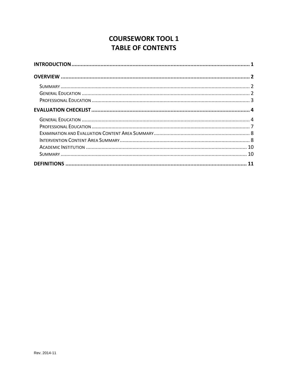# **COURSEWORK TOOL 1 TABLE OF CONTENTS**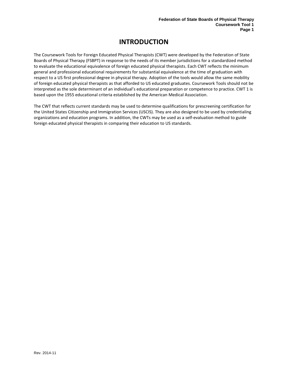# **INTRODUCTION**

<span id="page-2-0"></span>The Coursework Tools for Foreign Educated Physical Therapists (CWT) were developed by the Federation of State Boards of Physical Therapy (FSBPT) in response to the needs of its member jurisdictions for a standardized method to evaluate the educational equivalence of foreign educated physical therapists. Each CWT reflects the minimum general and professional educational requirements for substantial equivalence at the time of graduation with respect to a US first professional degree in physical therapy. Adoption of the tools would allow the same mobility of foreign educated physical therapists as that afforded to US educated graduates. Coursework Tools should not be interpreted as the sole determinant of an individual's educational preparation or competence to practice. CWT 1 is based upon the 1955 educational criteria established by the American Medical Association.

The CWT that reflects current standards may be used to determine qualifications for prescreening certification for the United States Citizenship and Immigration Services (USCIS). They are also designed to be used by credentialing organizations and education programs. In addition, the CWTs may be used as a self-evaluation method to guide foreign educated physical therapists in comparing their education to US standards.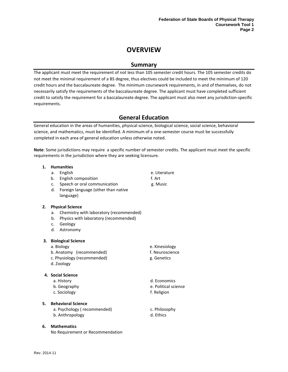# **OVERVIEW**

## **Summary**

<span id="page-3-1"></span><span id="page-3-0"></span>The applicant must meet the requirement of not less than 105 semester credit hours. The 105 semester credits do not meet the minimal requirement of a BS degree, thus electives could be included to meet the minimum of 120 credit hours and the baccalaureate degree. The minimum coursework requirements, in and of themselves, do not necessarily satisfy the requirements of the baccalaureate degree. The applicant must have completed sufficient credit to satisfy the requirement for a baccalaureate degree. The applicant must also meet any jurisdiction-specific requirements.

# **General Education**

<span id="page-3-2"></span>General education in the areas of humanities, physical science, biological science, social science, behavioral science, and mathematics, must be identified. A minimum of a one-semester course must be successfully completed in each area of general education unless otherwise noted.

**Note**: Some jurisdictions may require a specific number of semester credits. The applicant must meet the specific requirements in the jurisdiction where they are seeking licensure.

#### **1. Humanities**

- a. English e. Literature
- b. English composition f. Art
- c. Speech or oral communication g. Music
- d. Foreign language (other than native language)

#### **2. Physical Science**

- a. Chemistry with laboratory (recommended)
- b. Physics with laboratory (recommended)
- c. Geology
- d. Astronomy

#### **3. Biological Science**

- 
- b. Anatomy (recommended) f. Neuroscience
- c. Physiology (recommended) example a series such that is g. Genetics
- d. Zoology

#### **4. Social Science**

- 
- 
- c. Sociology f. Religion

#### **5. Behavioral Science**

a. Psychology (recommended) e. Philosophy b. Anthropology and the control of the control of the control of the control of the control of the control of the control of the control of the control of the control of the control of the control of the control of the con

#### **6. Mathematics**

No Requirement or Recommendation

- a. Biology e. Kinesiology
	-
	-

a. History d. Economics b. Geography e. Political science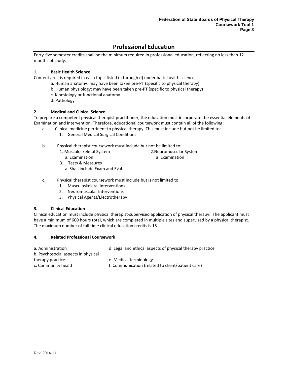# **Professional Education**

<span id="page-4-0"></span>Forty-five semester credits shall be the minimum required in professional education, reflecting no less than 12 months of study.

#### **1. Basic Health Science**

Content area is required in each topic listed (a through d) under basic health sciences**.**

- a. Human anatomy: may have been taken pre-PT (specific to physical therapy)
- b. Human physiology: may have been taken pre-PT (specific to physical therapy)
- c. Kinesiology or functional anatomy
- d. Pathology

#### **2. Medical and Clinical Science**

To prepare a competent physical therapist practitioner, the education must incorporate the essential elements of Examination and Intervention. Therefore, educational coursework must contain all of the following:

- a. Clinical medicine pertinent to physical therapy. This must include but not be limited to:
	- 1. General Medical Surgical Conditions
- b. Physical therapist coursework must include but not be limited to:
	- 1. Musculoskeletal System a. Examination
- 2.Neuromuscular System a. Examination
- 3. Tests & Measures a. Shall include Exam and Eval
- c. Physical therapist coursework must include but is not limited to:
	- 1. Musculoskeletal Interventions
	- 2. Neuromuscular Interventions
	- 3. Physical Agents/Electrotherapy

#### **3. Clinical Education**

Clinical education must include physical therapist-supervised application of physical therapy. The applicant must have a minimum of 600 hours total, which are completed in multiple sites and supervised by a physical therapist. The maximum number of full time clinical education credits is 15.

#### **4. Related Professional Coursework**

| a. Administration                   | d. Legal and ethical aspects of physical therapy practice |
|-------------------------------------|-----------------------------------------------------------|
| b. Psychosocial aspects in physical |                                                           |
| therapy practice                    | e. Medical terminology                                    |
| c. Community health                 | f. Communication (related to client/patient care)         |
|                                     |                                                           |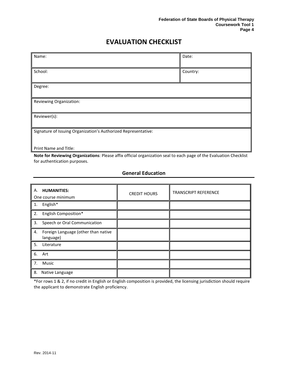# **EVALUATION CHECKLIST**

<span id="page-5-0"></span>

| Name:                                                          | Date:    |  |
|----------------------------------------------------------------|----------|--|
|                                                                |          |  |
| School:                                                        | Country: |  |
| Degree:                                                        |          |  |
| Reviewing Organization:                                        |          |  |
|                                                                |          |  |
| Reviewer(s):                                                   |          |  |
| Signature of Issuing Organization's Authorized Representative: |          |  |
| Print Name and Title:                                          |          |  |

**Note for Reviewing Organizations**: Please affix official organization seal to each page of the Evaluation Checklist for authentication purposes.

### **General Education**

<span id="page-5-1"></span>

| <b>HUMANITIES:</b><br>А.<br>One course minimum         | <b>CREDIT HOURS</b> | TRANSCRIPT REFERENCE |
|--------------------------------------------------------|---------------------|----------------------|
| English*<br>1.                                         |                     |                      |
| English Composition*<br>2.                             |                     |                      |
| Speech or Oral Communication<br>3.                     |                     |                      |
| Foreign Language (other than native<br>4.<br>language) |                     |                      |
| 5.<br>Literature                                       |                     |                      |
| 6.<br>Art                                              |                     |                      |
| Music<br>7.                                            |                     |                      |
| 8.<br>Native Language                                  |                     |                      |

\*For rows 1 & 2, if no credit in English or English composition is provided, the licensing jurisdiction should require the applicant to demonstrate English proficiency.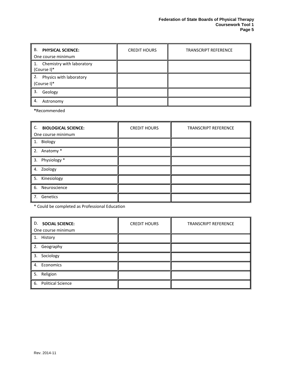| В.<br><b>PHYSICAL SCIENCE:</b><br>One course minimum | <b>CREDIT HOURS</b> | <b>TRANSCRIPT REFERENCE</b> |
|------------------------------------------------------|---------------------|-----------------------------|
| 1. Chemistry with laboratory<br>(Course I)*          |                     |                             |
| 2.<br>Physics with laboratory<br>(Course I)*         |                     |                             |
| 3.<br>Geology                                        |                     |                             |
| 4.<br>Astronomy                                      |                     |                             |

**\***Recommended

| C. BIOLOGICAL SCIENCE:<br>One course minimum | <b>CREDIT HOURS</b> | <b>TRANSCRIPT REFERENCE</b> |
|----------------------------------------------|---------------------|-----------------------------|
| 1. Biology                                   |                     |                             |
| 2. Anatomy *                                 |                     |                             |
| 3. Physiology *                              |                     |                             |
| 4. Zoology                                   |                     |                             |
| 5. Kinesiology                               |                     |                             |
| 6. Neuroscience                              |                     |                             |
| 7. Genetics                                  |                     |                             |

\* Could be completed as Professional Education

| D. SOCIAL SCIENCE:<br>One course minimum | <b>CREDIT HOURS</b> | <b>TRANSCRIPT REFERENCE</b> |
|------------------------------------------|---------------------|-----------------------------|
| 1. History                               |                     |                             |
| 2. Geography                             |                     |                             |
| 3. Sociology                             |                     |                             |
| 4. Economics                             |                     |                             |
| 5. Religion                              |                     |                             |
| 6. Political Science                     |                     |                             |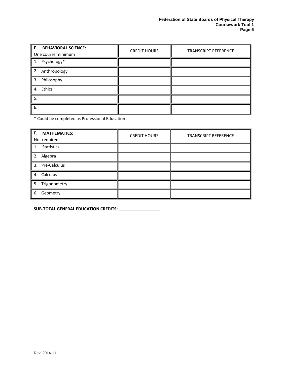| E. BEHAVIORAL SCIENCE:<br>One course minimum | <b>CREDIT HOURS</b> | <b>TRANSCRIPT REFERENCE</b> |
|----------------------------------------------|---------------------|-----------------------------|
| 1. Psychology*                               |                     |                             |
| 2. Anthropology                              |                     |                             |
| 3. Philosophy                                |                     |                             |
| 4. Ethics                                    |                     |                             |
| 5.                                           |                     |                             |
| 6.                                           |                     |                             |

\* Could be completed as Professional Education

| F. MATHEMATICS:<br>Not required | <b>CREDIT HOURS</b> | <b>TRANSCRIPT REFERENCE</b> |
|---------------------------------|---------------------|-----------------------------|
| <b>Statistics</b><br>1.         |                     |                             |
| 2. Algebra                      |                     |                             |
| 3. Pre-Calculus                 |                     |                             |
| 4. Calculus                     |                     |                             |
| 5. Trigonometry                 |                     |                             |
| Geometry<br>6.                  |                     |                             |

**SUB-TOTAL GENERAL EDUCATION CREDITS: \_\_\_\_\_\_\_\_\_\_\_\_\_\_\_\_\_\_**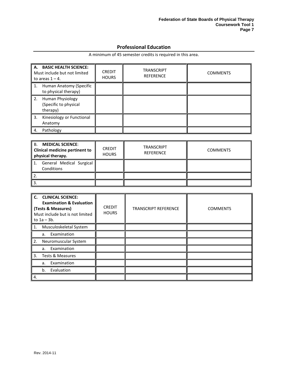## **Professional Education**

<span id="page-8-0"></span>

| A. BASIC HEALTH SCIENCE:<br>Must include but not limited<br>to areas $1 - 4$ . | <b>CREDIT</b><br><b>HOURS</b> | <b>TRANSCRIPT</b><br><b>REFERENCE</b> | <b>COMMENTS</b> |
|--------------------------------------------------------------------------------|-------------------------------|---------------------------------------|-----------------|
| Human Anatomy (Specific<br>1.<br>to physical therapy)                          |                               |                                       |                 |
| 2.<br>Human Physiology<br>(Specific to physical<br>therapy)                    |                               |                                       |                 |
| 3.<br>Kinesiology or Functional<br>Anatomy                                     |                               |                                       |                 |
| Pathology<br>4.                                                                |                               |                                       |                 |

A minimum of 45 semester credits is required in this area.

| <b>MEDICAL SCIENCE:</b><br>В.<br><b>Clinical medicine pertinent to</b><br>physical therapy. | <b>CREDIT</b><br><b>HOURS</b> | <b>TRANSCRIPT</b><br><b>REFERENCE</b> | <b>COMMENTS</b> |
|---------------------------------------------------------------------------------------------|-------------------------------|---------------------------------------|-----------------|
| General Medical Surgical<br>1.<br>Conditions                                                |                               |                                       |                 |
|                                                                                             |                               |                                       |                 |
| ່ 3.                                                                                        |                               |                                       |                 |

| C. CLINICAL SCIENCE:<br><b>Examination &amp; Evaluation</b><br>(Tests & Measures)<br>Must include but is not limited<br>to $1a - 3b$ . | <b>CREDIT</b><br><b>HOURS</b> | <b>TRANSCRIPT REFERENCE</b> | <b>COMMENTS</b> |
|----------------------------------------------------------------------------------------------------------------------------------------|-------------------------------|-----------------------------|-----------------|
| Musculoskeletal System<br>1.                                                                                                           |                               |                             |                 |
| Examination<br>a.                                                                                                                      |                               |                             |                 |
| 2.<br>Neuromuscular System                                                                                                             |                               |                             |                 |
| Examination<br>a.                                                                                                                      |                               |                             |                 |
| 3.<br>Tests & Measures                                                                                                                 |                               |                             |                 |
| Examination<br>a.                                                                                                                      |                               |                             |                 |
| Evaluation<br>b.                                                                                                                       |                               |                             |                 |
| 4.                                                                                                                                     |                               |                             |                 |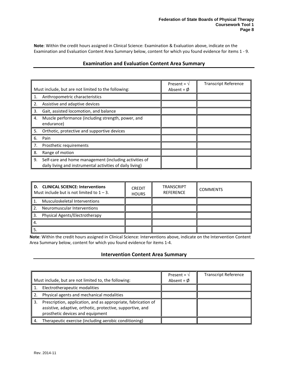<span id="page-9-0"></span>**Note**: Within the credit hours assigned in Clinical Science: Examination & Evaluation above, indicate on the Examination and Evaluation Content Area Summary below, content for which you found evidence for items 1 - 9.

#### **Examination and Evaluation Content Area Summary**

|    | Must include, but are not limited to the following:                                                                 | Present = $\sqrt{ }$<br>Absent = $\phi$ | <b>Transcript Reference</b> |
|----|---------------------------------------------------------------------------------------------------------------------|-----------------------------------------|-----------------------------|
| 1. | Anthropometric characteristics                                                                                      |                                         |                             |
| 2. | Assistive and adaptive devices                                                                                      |                                         |                             |
| 3. | Gait, assisted locomotion, and balance                                                                              |                                         |                             |
| 4. | Muscle performance (including strength, power, and<br>endurance)                                                    |                                         |                             |
| 5. | Orthotic, protective and supportive devices                                                                         |                                         |                             |
| 6. | Pain                                                                                                                |                                         |                             |
| 7. | Prosthetic requirements                                                                                             |                                         |                             |
| 8. | Range of motion                                                                                                     |                                         |                             |
| 9. | Self-care and home management (including activities of<br>daily living and instrumental activities of daily living) |                                         |                             |

| <b>CLINICAL SCIENCE: Interventions</b><br>D.<br>Must include but is not limited to $1 - 3$ . | <b>CREDIT</b><br><b>HOURS</b> | <b>TRANSCRIPT</b><br><b>REFERENCE</b> | <b>COMMENTS</b> |
|----------------------------------------------------------------------------------------------|-------------------------------|---------------------------------------|-----------------|
| Musculoskeletal Interventions                                                                |                               |                                       |                 |
| Neuromuscular Interventions                                                                  |                               |                                       |                 |
| Physical Agents/Electrotherapy                                                               |                               |                                       |                 |
|                                                                                              |                               |                                       |                 |
|                                                                                              |                               |                                       |                 |

<span id="page-9-1"></span>**Note**: Within the credit hours assigned in Clinical Science: Interventions above, indicate on the Intervention Content Area Summary below, content for which you found evidence for items 1-4.

#### **Intervention Content Area Summary**

| Must include, but are not limited to, the following:                                                                                                                  | Present = $\sqrt{ }$<br>Absent = $\phi$ | <b>Transcript Reference</b> |
|-----------------------------------------------------------------------------------------------------------------------------------------------------------------------|-----------------------------------------|-----------------------------|
| Electrotherapeutic modalities                                                                                                                                         |                                         |                             |
| Physical agents and mechanical modalities                                                                                                                             |                                         |                             |
| Prescription, application, and as appropriate, fabrication of<br>3.<br>assistive, adaptive, orthotic, protective, supportive, and<br>prosthetic devices and equipment |                                         |                             |
| Therapeutic exercise (including aerobic conditioning)                                                                                                                 |                                         |                             |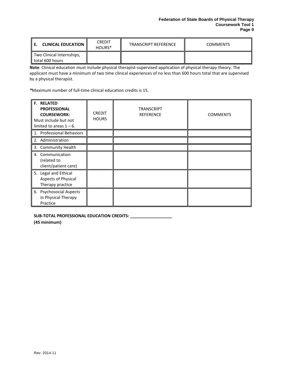| <b>CLINICAL EDUCATION II</b>                 | <b>CREDIT</b><br>HOURS <sup>*</sup> | <b>TRANSCRIPT REFERENCE</b> | <b>COMMENTS</b> |
|----------------------------------------------|-------------------------------------|-----------------------------|-----------------|
| Two Clinical Internships,<br>total 600 hours |                                     |                             |                 |

**Note**: Clinical education must include physical therapist-supervised application of physical therapy theory. The applicant must have a minimum of two time clinical experiences of no less than 600 hours total that are supervised by a physical therapist.

*\**Maximum number of full-time clinical education credits is 15.

| <b>F. RELATED</b><br><b>PROFESSIONAL</b><br><b>COURSEWORK:</b><br>Must include but not<br>limited to areas $1 - 6$ . | <b>CREDIT</b><br><b>HOURS</b> | <b>TRANSCRIPT</b><br><b>REFERENCE</b> | <b>COMMENTS</b> |
|----------------------------------------------------------------------------------------------------------------------|-------------------------------|---------------------------------------|-----------------|
| 1. Professional Behaviors                                                                                            |                               |                                       |                 |
| 2. Administration                                                                                                    |                               |                                       |                 |
| 3. Community Health                                                                                                  |                               |                                       |                 |
| 4. Communication<br>(related to<br>client/patient care)                                                              |                               |                                       |                 |
| 5. Legal and Ethical<br>Aspects of Physical<br>Therapy practice                                                      |                               |                                       |                 |
| 6. Psychosocial Aspects<br>in Physical Therapy<br>Practice                                                           |                               |                                       |                 |

**SUB-TOTAL PROFESSIONAL EDUCATION CREDITS: \_\_\_\_\_\_\_\_\_\_\_\_\_\_\_\_\_\_**

**(45 minimum)**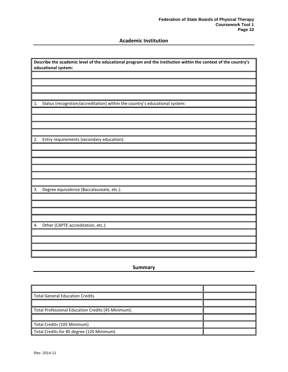## **Academic Institution**

<span id="page-11-0"></span>

| Describe the academic level of the educational program and the institution within the context of the country's<br>educational system: |  |  |
|---------------------------------------------------------------------------------------------------------------------------------------|--|--|
|                                                                                                                                       |  |  |
|                                                                                                                                       |  |  |
|                                                                                                                                       |  |  |
|                                                                                                                                       |  |  |
|                                                                                                                                       |  |  |
| Status (recognition/accreditation) within the country's educational system:<br>1.                                                     |  |  |
|                                                                                                                                       |  |  |
|                                                                                                                                       |  |  |
|                                                                                                                                       |  |  |
|                                                                                                                                       |  |  |
| 2.<br>Entry requirements (secondary education):                                                                                       |  |  |
|                                                                                                                                       |  |  |
|                                                                                                                                       |  |  |
|                                                                                                                                       |  |  |
|                                                                                                                                       |  |  |
|                                                                                                                                       |  |  |
|                                                                                                                                       |  |  |
| 3.<br>Degree equivalence (Baccalaureate, etc.):                                                                                       |  |  |
|                                                                                                                                       |  |  |
|                                                                                                                                       |  |  |
|                                                                                                                                       |  |  |
|                                                                                                                                       |  |  |
| Other (CAPTE accreditation, etc.):<br>4.                                                                                              |  |  |
|                                                                                                                                       |  |  |
|                                                                                                                                       |  |  |
|                                                                                                                                       |  |  |
|                                                                                                                                       |  |  |

## **Summary**

<span id="page-11-1"></span>

| <b>Total General Education Credits</b>             |  |
|----------------------------------------------------|--|
|                                                    |  |
| Total Professional Education Credits (45 Minimum): |  |
|                                                    |  |
| Total Credits (105 Minimum)                        |  |
| Total Credits for BS degree (120 Minimum)          |  |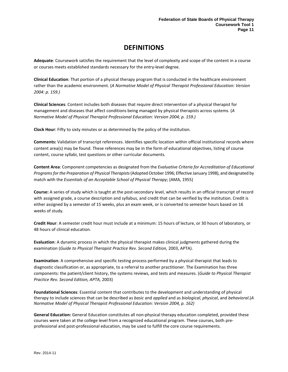# **DEFINITIONS**

<span id="page-12-0"></span>**Adequate**: Coursework satisfies the requirement that the level of complexity and scope of the content in a course or courses meets established standards necessary for the entry-level degree.

**Clinical Education**: That portion of a physical therapy program that is conducted in the healthcare environment rather than the academic environment. (*A Normative Model of Physical Therapist Professional Education: Version 2004: p. 159.)*

**Clinical Sciences**: Content includes both diseases that require direct intervention of a physical therapist for management and diseases that affect conditions being managed by physical therapists across systems. (*A Normative Model of Physical Therapist Professional Education: Version 2004; p. 159.)*

**Clock Hour**: Fifty to sixty minutes or as determined by the policy of the institution.

**Comments:** Validation of transcript references. Identifies specific location within official institutional records where content area(s) may be found. These references may be in the form of educational objectives, listing of course content, course syllabi, test questions or other curricular documents.

**Content Area**: Component competencies as designated from the *Evaluative Criteria for Accreditation of Educational Programs for the Preparation of Physical Therapists*(Adopted October 1996; Effective January 1998), and designated by match with the *Essentials of an Acceptable School of Physical Therapy*; (AMA, 1955)

**Course:** A series of study which is taught at the post-secondary level, which results in an official transcript of record with assigned grade, a course description and syllabus, and credit that can be verified by the institution. Credit is either assigned by a semester of 15 weeks, plus an exam week, or is converted to semester hours based on 16 weeks of study.

**Credit Hour**: A semester credit hour must include at a minimum: 15 hours of lecture, or 30 hours of laboratory, or 48 hours of clinical education.

**Evaluation**: A dynamic process in which the physical therapist makes clinical judgments gathered during the examination (*Guide to Physical Therapist Practice Rev. Second Edition*, 2003, APTA).

**Examination**: A comprehensive and specific testing process performed by a physical therapist that leads to diagnostic classification or, as appropriate, to a referral to another practitioner. The Examination has three components: the patient/client history, the systems reviews, and tests and measures. (*Guide to Physical Therapist Practice Rev. Second Edition, APTA,* 2003)

**Foundational Sciences**: Essential content that contributes to the development and understanding of physical therapy to include sciences that can be described as *basic* and *applied* and as *biological*, *physical*, and *behavioral*.(*A Normative Model of Physical Therapist Professional Education: Version 2004, p. 162)*

**General Education:** General Education constitutes all non-physical therapy education completed, provided these courses were taken at the college level from a recognized educational program. These courses, both preprofessional and post-professional education, may be used to fulfill the core course requirements.